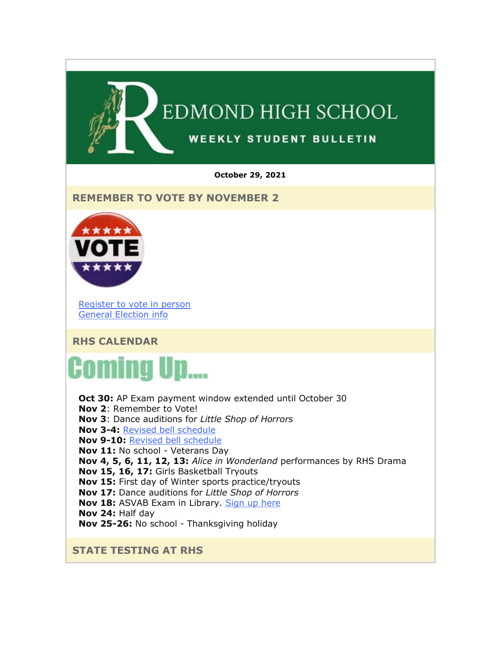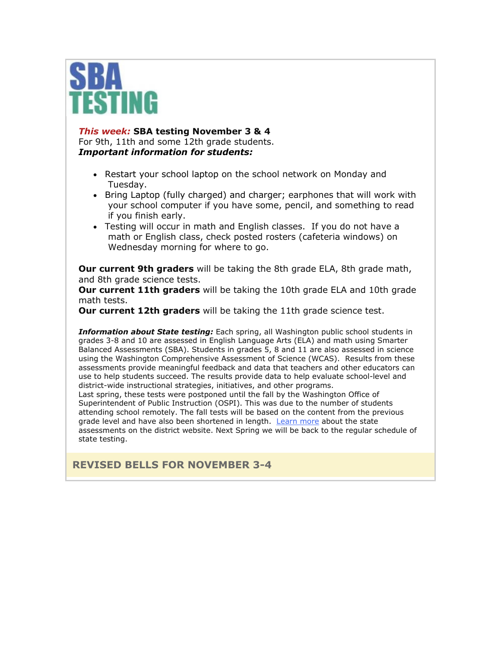

#### *This week:* **SBA testing November 3 & 4**

For 9th, 11th and some 12th grade students. *Important information for students:*

- Restart your school laptop on the school network on Monday and Tuesday.
- Bring Laptop (fully charged) and charger; earphones that will work with your school computer if you have some, pencil, and something to read if you finish early.
- Testing will occur in math and English classes. If you do not have a math or English class, check posted rosters (cafeteria windows) on Wednesday morning for where to go.

**Our current 9th graders** will be taking the 8th grade ELA, 8th grade math, and 8th grade science tests.

**Our current 11th graders** will be taking the 10th grade ELA and 10th grade math tests.

**Our current 12th graders** will be taking the 11th grade science test.

*Information about State testing:* Each spring, all Washington public school students in grades 3-8 and 10 are assessed in English Language Arts (ELA) and math using Smarter Balanced Assessments (SBA). Students in grades 5, 8 and 11 are also assessed in science using the Washington Comprehensive Assessment of Science (WCAS). Results from these assessments provide meaningful feedback and data that teachers and other educators can use to help students succeed. The results provide data to help evaluate school-level and district-wide instructional strategies, initiatives, and other programs.

Last spring, these tests were postponed until the fall by the Washington Office of Superintendent of Public Instruction (OSPI). This was due to the number of students attending school remotely. The fall tests will be based on the content from the previous grade level and have also been shortened in length. [Learn more](https://nam02.safelinks.protection.outlook.com/?url=http%3A%2F%2Flink.email.dynect.net%2Flink.php%3FDynEngagement%3Dtrue%26H%3DbyPkDFxves6EOGDn1peRNeIe02OIJH5CdLqxMLzUeO8xfJUQzDOhsO1bHLttkS3hqpXV6Nsc44yxbPt4syLkKL5IyFyoNCAh0lIGN67wBXf8O%252BiCTSCPMA%253D%253D%26G%3D0%26R%3Dhttps%253A%252F%252FQSSEGYZTANA.hatchbuck.com%252FTrackLinkClick%253FID2%253DwyNaomoX0NqdnPDd5oSznUcel9cBnzAdahY93TIM-kZvWMUyQBOOuMwF8xPIEaAU0%26I%3D20211029220429.0000002ac383%2540mail6-64-ussnn1%26X%3DMHwxMjY0OTIyOjIyOTk2NzkxMDU7MXwxMjY0OTIzOjE4NDIwODUxNjs%253D%26V%3D3%26S%3DWuAiNTg0h0w8QbuLZJ5Ul4XtNv5uqdVBrPDK869AZkI&data=04%7C01%7Cmwood%40lwsd.org%7C5ff38d2bb0394864297908d99b28157d%7C1fd4673fdf9646218638a1d88c4c85d7%7C0%7C0%7C637711418729854040%7CUnknown%7CTWFpbGZsb3d8eyJWIjoiMC4wLjAwMDAiLCJQIjoiV2luMzIiLCJBTiI6Ik1haWwiLCJXVCI6Mn0%3D%7C1000&sdata=WF0wIyUzK0WPu5yGP0GLSjYm0fG1fCCciTZOkusWzr8%3D&reserved=0) about the state assessments on the district website. Next Spring we will be back to the regular schedule of state testing.

**REVISED BELLS FOR NOVEMBER 3-4**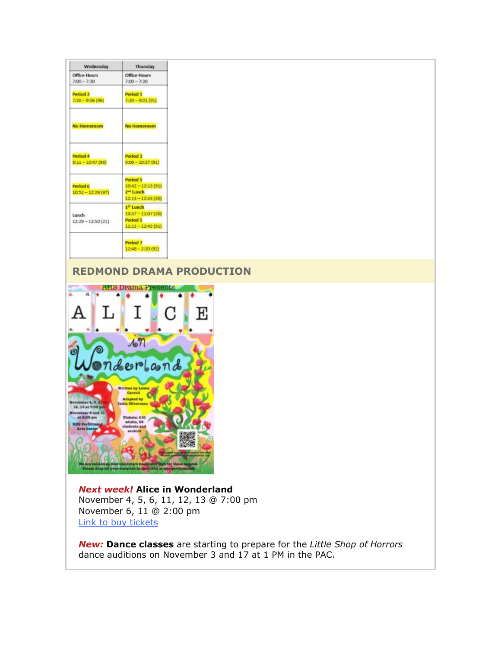| Wednesday                                | Thursday                                                                         |
|------------------------------------------|----------------------------------------------------------------------------------|
| <b>Office Hours</b><br>$7:00 - 7:30$     | <b>Office Hours</b><br>$7:00 - 7:30$                                             |
| Period <sub>2</sub><br>$7:30 - 9:06(96)$ | Period 1<br>$7:30 - 9:01 (91)$                                                   |
| <b>No Homeroom</b>                       | <b>No Homeroom</b>                                                               |
| Period 4<br>$9:11 - 10:47(96)$           | Period 3<br>$9:06 - 10:37(91)$                                                   |
| Period 6<br>$10:52 - 12:29(97)$          | Period 5<br>$10:42 - 12:13(91)$<br>2 <sup>mi</sup> Lunch<br>$12:13 - 12:43$ (30) |
| Lunch<br>$12:29 - 12:50(21)$             | 1 <sup>ST</sup> Lunch<br>$10:37 - 11:07(30)$<br>Period 5<br>$11:12 - 12:43(91)$  |
|                                          | Period 7<br>$12:48 - 2:20(92)$                                                   |

# **REDMOND DRAMA PRODUCTION**



*Next week!* **Alice in Wonderland** November 4, 5, 6, 11, 12, 13 @ 7:00 pm November 6, 11 @ 2:00 pm [Link to buy tickets](https://nam02.safelinks.protection.outlook.com/?url=http%3A%2F%2Flink.email.dynect.net%2Flink.php%3FDynEngagement%3Dtrue%26H%3DbyPkDFxves6EOGDn1peRNeIe02OIJH5CdLqxMLzUeO8xfJUQzDOhsO1bHLttkS3hqpXV6Nsc44yxbPt4syLkKL5IyFyoNCAh0lIGN67wBXf8O%252BiCTSCPMA%253D%253D%26G%3D0%26R%3Dhttps%253A%252F%252FQSSEGYZTANA.hatchbuck.com%252FTrackLinkClick%253FID2%253DBdsbe4uKQx_yp2caN4_0FM6q2syby_Xau6_ymp1cC3140-v-xOww6J7yVBS7iaMx0%26I%3D20211029220429.0000002ac383%2540mail6-64-ussnn1%26X%3DMHwxMjY0OTIyOjIyOTk2NzkxMDU7MXwxMjY0OTIzOjE4NDIwODUxNjs%253D%26V%3D3%26S%3D52ea39cb2xUaepbUFDdYuG_nJZUwZD3yb2a8cD_D_44&data=04%7C01%7Cmwood%40lwsd.org%7C5ff38d2bb0394864297908d99b28157d%7C1fd4673fdf9646218638a1d88c4c85d7%7C0%7C0%7C637711418729859022%7CUnknown%7CTWFpbGZsb3d8eyJWIjoiMC4wLjAwMDAiLCJQIjoiV2luMzIiLCJBTiI6Ik1haWwiLCJXVCI6Mn0%3D%7C1000&sdata=s65VNwrstKrjOYQ9YSgUBTs8a%2BPWm8cgO52PL%2Bjs%2B60%3D&reserved=0)

*New:* **Dance classes** are starting to prepare for the *Little Shop of Horrors* dance auditions on November 3 and 17 at 1 PM in the PAC.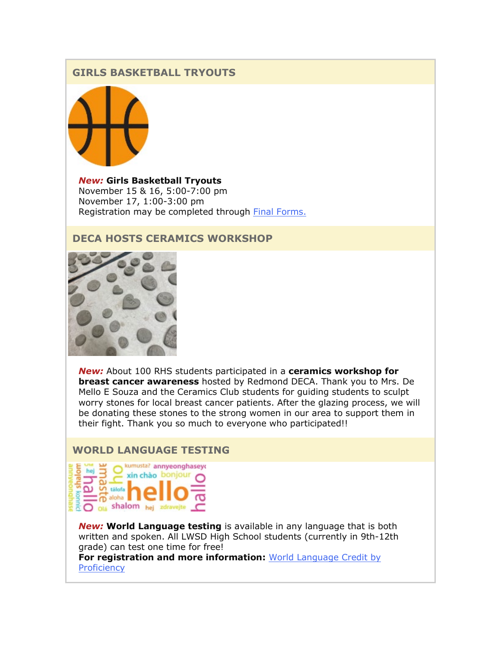# **GIRLS BASKETBALL TRYOUTS**



*New:* **Girls Basketball Tryouts** November 15 & 16, 5:00-7:00 pm November 17, 1:00-3:00 pm Registration may be completed through [Final Forms.](https://nam02.safelinks.protection.outlook.com/?url=http%3A%2F%2Flink.email.dynect.net%2Flink.php%3FDynEngagement%3Dtrue%26H%3DbyPkDFxves6EOGDn1peRNeIe02OIJH5CdLqxMLzUeO8xfJUQzDOhsO1bHLttkS3hqpXV6Nsc44yxbPt4syLkKL5IyFyoNCAh0lIGN67wBXf8O%252BiCTSCPMA%253D%253D%26G%3D0%26R%3Dhttps%253A%252F%252FQSSEGYZTANA.hatchbuck.com%252FTrackLinkClick%253FID2%253Dh4mE7LLtYY3-8PYGJWLuwWVM850qlMgZE5J1NO5ggPE66m5oXJcqUolltfaavbT20%26I%3D20211029220429.0000002ac383%2540mail6-64-ussnn1%26X%3DMHwxMjY0OTIyOjIyOTk2NzkxMDU7MXwxMjY0OTIzOjE4NDIwODUxNjs%253D%26V%3D3%26S%3DQ6NigIjT9opVLd7GO2MkYc_aGw3LQAa4jsjCOsWkaRc&data=04%7C01%7Cmwood%40lwsd.org%7C5ff38d2bb0394864297908d99b28157d%7C1fd4673fdf9646218638a1d88c4c85d7%7C0%7C0%7C637711418729869003%7CUnknown%7CTWFpbGZsb3d8eyJWIjoiMC4wLjAwMDAiLCJQIjoiV2luMzIiLCJBTiI6Ik1haWwiLCJXVCI6Mn0%3D%7C1000&sdata=VuH5y3rRqA5EYjRVDQr3a2AwWwHOIOlrJu8fdsIhaFk%3D&reserved=0)

# **DECA HOSTS CERAMICS WORKSHOP**



*New:* About 100 RHS students participated in a **ceramics workshop for breast cancer awareness** hosted by Redmond DECA. Thank you to Mrs. De Mello E Souza and the Ceramics Club students for guiding students to sculpt worry stones for local breast cancer patients. After the glazing process, we will be donating these stones to the strong women in our area to support them in their fight. Thank you so much to everyone who participated!!

#### **WORLD LANGUAGE TESTING**



*New:* **World Language testing** is available in any language that is both written and spoken. All LWSD High School students (currently in 9th-12th grade) can test one time for free!

**For registration and more information:** [World Language Credit by](https://nam02.safelinks.protection.outlook.com/?url=http%3A%2F%2Flink.email.dynect.net%2Flink.php%3FDynEngagement%3Dtrue%26H%3DbyPkDFxves6EOGDn1peRNeIe02OIJH5CdLqxMLzUeO8xfJUQzDOhsO1bHLttkS3hqpXV6Nsc44yxbPt4syLkKL5IyFyoNCAh0lIGN67wBXf8O%252BiCTSCPMA%253D%253D%26G%3D0%26R%3Dhttps%253A%252F%252FQSSEGYZTANA.hatchbuck.com%252FTrackLinkClick%253FID2%253DEfAbjbfpx2e-P-ppJn4Spl9U3G3_TvfwEo0CK_YOrw_v0eQNm_RaxGUSa_jsuosc0%26I%3D20211029220429.0000002ac383%2540mail6-64-ussnn1%26X%3DMHwxMjY0OTIyOjIyOTk2NzkxMDU7MXwxMjY0OTIzOjE4NDIwODUxNjs%253D%26V%3D3%26S%3DIUMpMqpZXEic-cE5RRIccZKN6QgCJV_O75uPpO60sxY&data=04%7C01%7Cmwood%40lwsd.org%7C5ff38d2bb0394864297908d99b28157d%7C1fd4673fdf9646218638a1d88c4c85d7%7C0%7C0%7C637711418729874000%7CUnknown%7CTWFpbGZsb3d8eyJWIjoiMC4wLjAwMDAiLCJQIjoiV2luMzIiLCJBTiI6Ik1haWwiLCJXVCI6Mn0%3D%7C1000&sdata=%2F7muH%2Bdd5iLOTZPHKjFwt4xPzg%2FfGq8t7TU6W7Grmc8%3D&reserved=0)  **[Proficiency](https://nam02.safelinks.protection.outlook.com/?url=http%3A%2F%2Flink.email.dynect.net%2Flink.php%3FDynEngagement%3Dtrue%26H%3DbyPkDFxves6EOGDn1peRNeIe02OIJH5CdLqxMLzUeO8xfJUQzDOhsO1bHLttkS3hqpXV6Nsc44yxbPt4syLkKL5IyFyoNCAh0lIGN67wBXf8O%252BiCTSCPMA%253D%253D%26G%3D0%26R%3Dhttps%253A%252F%252FQSSEGYZTANA.hatchbuck.com%252FTrackLinkClick%253FID2%253DEfAbjbfpx2e-P-ppJn4Spl9U3G3_TvfwEo0CK_YOrw_v0eQNm_RaxGUSa_jsuosc0%26I%3D20211029220429.0000002ac383%2540mail6-64-ussnn1%26X%3DMHwxMjY0OTIyOjIyOTk2NzkxMDU7MXwxMjY0OTIzOjE4NDIwODUxNjs%253D%26V%3D3%26S%3DIUMpMqpZXEic-cE5RRIccZKN6QgCJV_O75uPpO60sxY&data=04%7C01%7Cmwood%40lwsd.org%7C5ff38d2bb0394864297908d99b28157d%7C1fd4673fdf9646218638a1d88c4c85d7%7C0%7C0%7C637711418729874000%7CUnknown%7CTWFpbGZsb3d8eyJWIjoiMC4wLjAwMDAiLCJQIjoiV2luMzIiLCJBTiI6Ik1haWwiLCJXVCI6Mn0%3D%7C1000&sdata=%2F7muH%2Bdd5iLOTZPHKjFwt4xPzg%2FfGq8t7TU6W7Grmc8%3D&reserved=0)**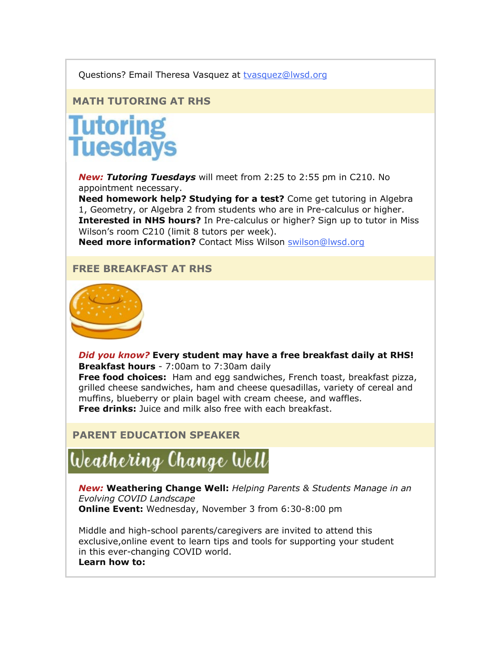#### Questions? Email Theresa Vasquez at [tvasquez@lwsd.org](mailto:tvasquez@lwsd.org)

# **MATH TUTORING AT RHS**

# **Tutoring<br>Tuesdays**

*New: Tutoring Tuesdays* will meet from 2:25 to 2:55 pm in C210. No appointment necessary.

**Need homework help? Studying for a test?** Come get tutoring in Algebra 1, Geometry, or Algebra 2 from students who are in Pre-calculus or higher. **Interested in NHS hours?** In Pre-calculus or higher? Sign up to tutor in Miss Wilson's room C210 (limit 8 tutors per week).

**Need more information?** Contact Miss Wilson [swilson@lwsd.org](mailto:swilson@lwsd.org)

#### **FREE BREAKFAST AT RHS**



*Did you know?* **Every student may have a free breakfast daily at RHS! Breakfast hours** - 7:00am to 7:30am daily **Free food choices:** Ham and egg sandwiches, French toast, breakfast pizza, grilled cheese sandwiches, ham and cheese quesadillas, variety of cereal and muffins, blueberry or plain bagel with cream cheese, and waffles.

**Free drinks:** Juice and milk also free with each breakfast.

# **PARENT EDUCATION SPEAKER**

# Weathering Change Well

*New:* **Weathering Change Well:** *Helping Parents & Students Manage in an Evolving COVID Landscape* **Online Event:** Wednesday, November 3 from 6:30-8:00 pm

Middle and high-school parents/caregivers are invited to attend this exclusive,online event to learn tips and tools for supporting your student in this ever-changing COVID world. **Learn how to:**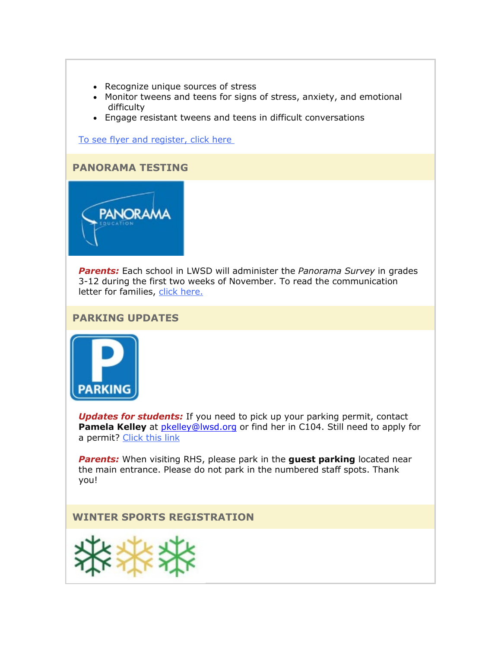- Recognize unique sources of stress
- Monitor tweens and teens for signs of stress, anxiety, and emotional difficulty
- Engage resistant tweens and teens in difficult conversations

[To see flyer and register, click here](https://nam02.safelinks.protection.outlook.com/?url=http%3A%2F%2Flink.email.dynect.net%2Flink.php%3FDynEngagement%3Dtrue%26H%3DbyPkDFxves6EOGDn1peRNeIe02OIJH5CdLqxMLzUeO8xfJUQzDOhsO1bHLttkS3hqpXV6Nsc44yxbPt4syLkKL5IyFyoNCAh0lIGN67wBXf8O%252BiCTSCPMA%253D%253D%26G%3D0%26R%3Dhttps%253A%252F%252FQSSEGYZTANA.hatchbuck.com%252FTrackLinkClick%253FID2%253DyVQfYyQerIFco4WBpWWjoqB5wEbdSP6M09Q6ZaXvsndbmVnv82s5NGjKvIQpUG770%26I%3D20211029220429.0000002ac383%2540mail6-64-ussnn1%26X%3DMHwxMjY0OTIyOjIyOTk2NzkxMDU7MXwxMjY0OTIzOjE4NDIwODUxNjs%253D%26V%3D3%26S%3DyOpSeqUaZ--ectYRLtQ-yJHM1WAu669zLKiSYRfs7d8&data=04%7C01%7Cmwood%40lwsd.org%7C5ff38d2bb0394864297908d99b28157d%7C1fd4673fdf9646218638a1d88c4c85d7%7C0%7C0%7C637711418729878982%7CUnknown%7CTWFpbGZsb3d8eyJWIjoiMC4wLjAwMDAiLCJQIjoiV2luMzIiLCJBTiI6Ik1haWwiLCJXVCI6Mn0%3D%7C1000&sdata=aLjUooqf4zZo46nNTusG3t2DftSUamb7mKSEMrk8X8c%3D&reserved=0)

# **PANORAMA TESTING**



*Parents:* Each school in LWSD will administer the *Panorama Survey* in grades 3-12 during the first two weeks of November. To read the communication letter for families, [click here.](https://nam02.safelinks.protection.outlook.com/?url=http%3A%2F%2Flink.email.dynect.net%2Flink.php%3FDynEngagement%3Dtrue%26H%3DbyPkDFxves6EOGDn1peRNeIe02OIJH5CdLqxMLzUeO8xfJUQzDOhsO1bHLttkS3hqpXV6Nsc44yxbPt4syLkKL5IyFyoNCAh0lIGN67wBXf8O%252BiCTSCPMA%253D%253D%26G%3D0%26R%3Dhttps%253A%252F%252FQSSEGYZTANA.hatchbuck.com%252FTrackLinkClick%253FID2%253DWhMLMME5K95ZrJRnZOkv90Zts_xY6j6IesE7UTTputGjMM6dGZiLvjM1fbLnJYzw0%26I%3D20211029220429.0000002ac383%2540mail6-64-ussnn1%26X%3DMHwxMjY0OTIyOjIyOTk2NzkxMDU7MXwxMjY0OTIzOjE4NDIwODUxNjs%253D%26V%3D3%26S%3DT1v1DDvcIKpYKZmqBgB0MFBp96dzl95zg1um0XM-eZA&data=04%7C01%7Cmwood%40lwsd.org%7C5ff38d2bb0394864297908d99b28157d%7C1fd4673fdf9646218638a1d88c4c85d7%7C0%7C0%7C637711418729883973%7CUnknown%7CTWFpbGZsb3d8eyJWIjoiMC4wLjAwMDAiLCJQIjoiV2luMzIiLCJBTiI6Ik1haWwiLCJXVCI6Mn0%3D%7C1000&sdata=U7jj1zI%2FtVHshGb3Y7rC8HCcAlyDgefj3hoNALzwHME%3D&reserved=0)

#### **PARKING UPDATES**



*Updates for students:* If you need to pick up your parking permit, contact **Pamela Kelley** at *pkelley@lwsd.org* or find her in C104. Still need to apply for a permit? [Click this link](https://nam02.safelinks.protection.outlook.com/?url=http%3A%2F%2Flink.email.dynect.net%2Flink.php%3FDynEngagement%3Dtrue%26H%3DbyPkDFxves6EOGDn1peRNeIe02OIJH5CdLqxMLzUeO8xfJUQzDOhsO1bHLttkS3hqpXV6Nsc44yxbPt4syLkKL5IyFyoNCAh0lIGN67wBXf8O%252BiCTSCPMA%253D%253D%26G%3D0%26R%3Dhttps%253A%252F%252FQSSEGYZTANA.hatchbuck.com%252FTrackLinkClick%253FID2%253DicdO_BROIZscSqJLTHLeq-kUU5QJ8oVCRwvu900kHDizqpczvK9wOQWUKK-kgBEM0%26I%3D20211029220429.0000002ac383%2540mail6-64-ussnn1%26X%3DMHwxMjY0OTIyOjIyOTk2NzkxMDU7MXwxMjY0OTIzOjE4NDIwODUxNjs%253D%26V%3D3%26S%3DfHug0GxmrZpEvnwJn2vavzIJWsP90h78OJxPmEWWOM8&data=04%7C01%7Cmwood%40lwsd.org%7C5ff38d2bb0394864297908d99b28157d%7C1fd4673fdf9646218638a1d88c4c85d7%7C0%7C0%7C637711418729893953%7CUnknown%7CTWFpbGZsb3d8eyJWIjoiMC4wLjAwMDAiLCJQIjoiV2luMzIiLCJBTiI6Ik1haWwiLCJXVCI6Mn0%3D%7C1000&sdata=BtD%2BlN0P2OtefAkz%2BmN0azgJulortJ0cdcL6%2BcV80oI%3D&reserved=0)

*Parents:* When visiting RHS, please park in the **guest parking** located near the main entrance. Please do not park in the numbered staff spots. Thank you!

**WINTER SPORTS REGISTRATION**

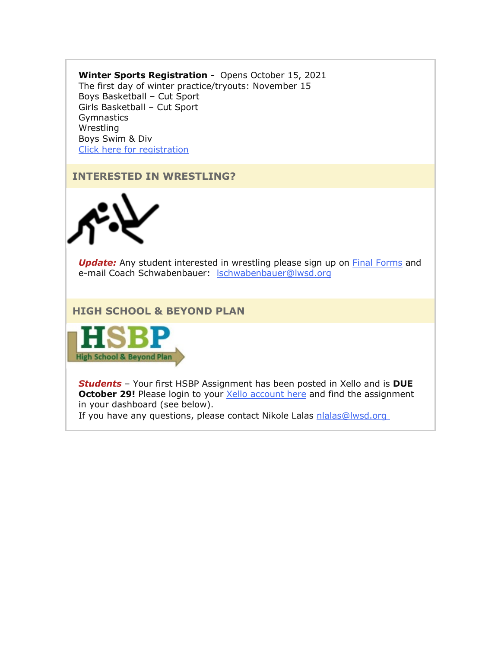#### **Winter Sports Registration -** Opens October 15, 2021 The first day of winter practice/tryouts: November 15 Boys Basketball – Cut Sport Girls Basketball – Cut Sport Gymnastics Wrestling Boys Swim & Div Click here for [registration](https://nam02.safelinks.protection.outlook.com/?url=http%3A%2F%2Flink.email.dynect.net%2Flink.php%3FDynEngagement%3Dtrue%26H%3DbyPkDFxves6EOGDn1peRNeIe02OIJH5CdLqxMLzUeO8xfJUQzDOhsO1bHLttkS3hqpXV6Nsc44yxbPt4syLkKL5IyFyoNCAh0lIGN67wBXf8O%252BiCTSCPMA%253D%253D%26G%3D0%26R%3Dhttps%253A%252F%252FQSSEGYZTANA.hatchbuck.com%252FTrackLinkClick%253FID2%253Dh4mE7LLtYY3-8PYGJWLuwWVM850qlMgZE5J1NO5ggPE66m5oXJcqUolltfaavbT20%26I%3D20211029220429.0000002ac383%2540mail6-64-ussnn1%26X%3DMHwxMjY0OTIyOjIyOTk2NzkxMDU7MXwxMjY0OTIzOjE4NDIwODUxNjs%253D%26V%3D3%26S%3DQ6NigIjT9opVLd7GO2MkYc_aGw3LQAa4jsjCOsWkaRc&data=04%7C01%7Cmwood%40lwsd.org%7C5ff38d2bb0394864297908d99b28157d%7C1fd4673fdf9646218638a1d88c4c85d7%7C0%7C0%7C637711418729898948%7CUnknown%7CTWFpbGZsb3d8eyJWIjoiMC4wLjAwMDAiLCJQIjoiV2luMzIiLCJBTiI6Ik1haWwiLCJXVCI6Mn0%3D%7C1000&sdata=O6YoLLw2ybrl9HlrQyBep21BPu8aGjJiJOdJnwvTwqs%3D&reserved=0)

# **INTERESTED IN WRESTLING?**



**Update:** Any student interested in wrestling please sign up on [Final Forms](https://nam02.safelinks.protection.outlook.com/?url=http%3A%2F%2Flink.email.dynect.net%2Flink.php%3FDynEngagement%3Dtrue%26H%3DbyPkDFxves6EOGDn1peRNeIe02OIJH5CdLqxMLzUeO8xfJUQzDOhsO1bHLttkS3hqpXV6Nsc44yxbPt4syLkKL5IyFyoNCAh0lIGN67wBXf8O%252BiCTSCPMA%253D%253D%26G%3D0%26R%3Dhttps%253A%252F%252FQSSEGYZTANA.hatchbuck.com%252FTrackLinkClick%253FID2%253Dh4mE7LLtYY3-8PYGJWLuwWVM850qlMgZE5J1NO5ggPE66m5oXJcqUolltfaavbT20%26I%3D20211029220429.0000002ac383%2540mail6-64-ussnn1%26X%3DMHwxMjY0OTIyOjIyOTk2NzkxMDU7MXwxMjY0OTIzOjE4NDIwODUxNjs%253D%26V%3D3%26S%3DQ6NigIjT9opVLd7GO2MkYc_aGw3LQAa4jsjCOsWkaRc&data=04%7C01%7Cmwood%40lwsd.org%7C5ff38d2bb0394864297908d99b28157d%7C1fd4673fdf9646218638a1d88c4c85d7%7C0%7C0%7C637711418729903942%7CUnknown%7CTWFpbGZsb3d8eyJWIjoiMC4wLjAwMDAiLCJQIjoiV2luMzIiLCJBTiI6Ik1haWwiLCJXVCI6Mn0%3D%7C1000&sdata=k3HZEjHt0aQJY65uBuYXQpSQnAeGzF9y5iXBuuGours%3D&reserved=0) and e-mail Coach Schwabenbauer: [lschwabenbauer@lwsd.org](mailto:lschwabenbauer@lwsd.org)

**HIGH SCHOOL & BEYOND PLAN**



*Students* – Your first HSBP Assignment has been posted in Xello and is **DUE October 29!** Please login to your **Xello account here and find the assignment** in your dashboard (see below).

If you have any questions, please contact Nikole Lalas [nlalas@lwsd.org](mailto:nlalas@lwsd.org)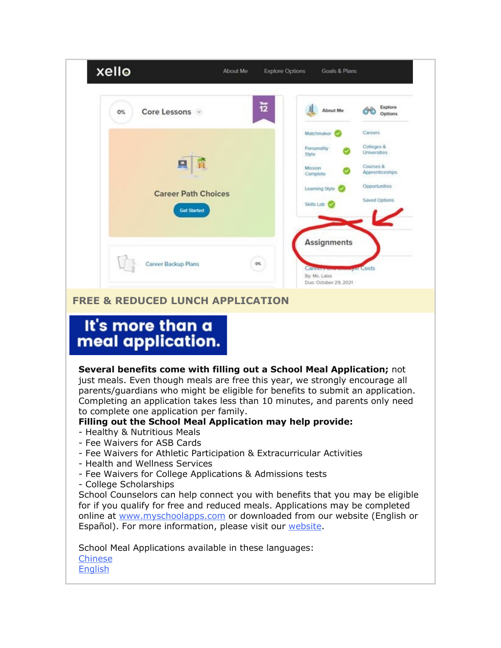

School Meal Applications available in these languages: [Chinese](https://nam02.safelinks.protection.outlook.com/?url=http%3A%2F%2Flink.email.dynect.net%2Flink.php%3FDynEngagement%3Dtrue%26H%3DbyPkDFxves6EOGDn1peRNeIe02OIJH5CdLqxMLzUeO8xfJUQzDOhsO1bHLttkS3hqpXV6Nsc44yxbPt4syLkKL5IyFyoNCAh0lIGN67wBXf8O%252BiCTSCPMA%253D%253D%26G%3D0%26R%3Dhttps%253A%252F%252FQSSEGYZTANA.hatchbuck.com%252FTrackLinkClick%253FID2%253D05S4TfigHqfSv2tFlA24HOyYmmbbxfPuzSlX2LXclHZbUxoxMizxp-LmsSXbmlrt0%26I%3D20211029220429.0000002ac383%2540mail6-64-ussnn1%26X%3DMHwxMjY0OTIyOjIyOTk2NzkxMDU7MXwxMjY0OTIzOjE4NDIwODUxNjs%253D%26V%3D3%26S%3D7OxLsJHHnGZ-pRdhfPV5yM463FNwoj9XlcqQKOBuIKk&data=04%7C01%7Cmwood%40lwsd.org%7C5ff38d2bb0394864297908d99b28157d%7C1fd4673fdf9646218638a1d88c4c85d7%7C0%7C0%7C637711418729928893%7CUnknown%7CTWFpbGZsb3d8eyJWIjoiMC4wLjAwMDAiLCJQIjoiV2luMzIiLCJBTiI6Ik1haWwiLCJXVCI6Mn0%3D%7C1000&sdata=jX9Ed4paN6x8jNapAEj1Ugdox%2Bjq%2Bl9WXb0YwsoDL9k%3D&reserved=0) [English](https://nam02.safelinks.protection.outlook.com/?url=http%3A%2F%2Flink.email.dynect.net%2Flink.php%3FDynEngagement%3Dtrue%26H%3DbyPkDFxves6EOGDn1peRNeIe02OIJH5CdLqxMLzUeO8xfJUQzDOhsO1bHLttkS3hqpXV6Nsc44yxbPt4syLkKL5IyFyoNCAh0lIGN67wBXf8O%252BiCTSCPMA%253D%253D%26G%3D0%26R%3Dhttps%253A%252F%252FQSSEGYZTANA.hatchbuck.com%252FTrackLinkClick%253FID2%253DI4Zw0hLK1usfpqDEQR0lNkmkPYMkKoMLe2h5cmpszTMB_3fuCOpGPgvUYcEKbcBa0%26I%3D20211029220429.0000002ac383%2540mail6-64-ussnn1%26X%3DMHwxMjY0OTIyOjIyOTk2NzkxMDU7MXwxMjY0OTIzOjE4NDIwODUxNjs%253D%26V%3D3%26S%3D7Q2o8F9C8NB0HRWqQRmT1d4wYzCAyNvOxk34HXmYZB4&data=04%7C01%7Cmwood%40lwsd.org%7C5ff38d2bb0394864297908d99b28157d%7C1fd4673fdf9646218638a1d88c4c85d7%7C0%7C0%7C637711418729933884%7CUnknown%7CTWFpbGZsb3d8eyJWIjoiMC4wLjAwMDAiLCJQIjoiV2luMzIiLCJBTiI6Ik1haWwiLCJXVCI6Mn0%3D%7C1000&sdata=QJel%2Fveg79uBNbcLCPSvaQaWgeF6MU%2B%2Fahc8Vq7lZ8Q%3D&reserved=0)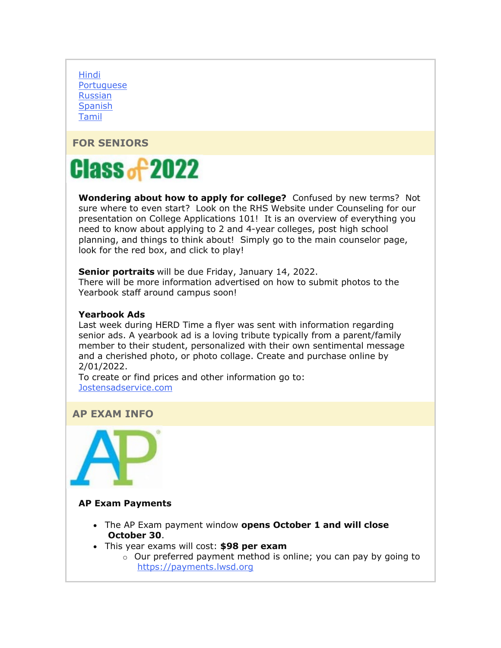[Hindi](https://nam02.safelinks.protection.outlook.com/?url=http%3A%2F%2Flink.email.dynect.net%2Flink.php%3FDynEngagement%3Dtrue%26H%3DbyPkDFxves6EOGDn1peRNeIe02OIJH5CdLqxMLzUeO8xfJUQzDOhsO1bHLttkS3hqpXV6Nsc44yxbPt4syLkKL5IyFyoNCAh0lIGN67wBXf8O%252BiCTSCPMA%253D%253D%26G%3D0%26R%3Dhttps%253A%252F%252FQSSEGYZTANA.hatchbuck.com%252FTrackLinkClick%253FID2%253DapdFRnckqnMq2k67Zfggx538NW0CDR8SSmS73a4ArElaC9dEuGG087wxWHpvoqld0%26I%3D20211029220429.0000002ac383%2540mail6-64-ussnn1%26X%3DMHwxMjY0OTIyOjIyOTk2NzkxMDU7MXwxMjY0OTIzOjE4NDIwODUxNjs%253D%26V%3D3%26S%3DbvHxhTSGC0r_-Fdml6a4WgeXRzVsKuqp4YO22HRJOTU&data=04%7C01%7Cmwood%40lwsd.org%7C5ff38d2bb0394864297908d99b28157d%7C1fd4673fdf9646218638a1d88c4c85d7%7C0%7C0%7C637711418729938877%7CUnknown%7CTWFpbGZsb3d8eyJWIjoiMC4wLjAwMDAiLCJQIjoiV2luMzIiLCJBTiI6Ik1haWwiLCJXVCI6Mn0%3D%7C1000&sdata=jAj4KZNtFqvfCGQGwZw3EclXowEBuVQLYOH7vz9dV3w%3D&reserved=0) [Portuguese](https://nam02.safelinks.protection.outlook.com/?url=http%3A%2F%2Flink.email.dynect.net%2Flink.php%3FDynEngagement%3Dtrue%26H%3DbyPkDFxves6EOGDn1peRNeIe02OIJH5CdLqxMLzUeO8xfJUQzDOhsO1bHLttkS3hqpXV6Nsc44yxbPt4syLkKL5IyFyoNCAh0lIGN67wBXf8O%252BiCTSCPMA%253D%253D%26G%3D0%26R%3Dhttps%253A%252F%252FQSSEGYZTANA.hatchbuck.com%252FTrackLinkClick%253FID2%253Dt7dXh8NfyaTv2j0zTurWYcDjqQEGWF4lmjTbwf6KwmY7FBJ8NttjFGuVPSu8_StP0%26I%3D20211029220429.0000002ac383%2540mail6-64-ussnn1%26X%3DMHwxMjY0OTIyOjIyOTk2NzkxMDU7MXwxMjY0OTIzOjE4NDIwODUxNjs%253D%26V%3D3%26S%3DlnHmBNm3G8ijMJ567IzDHSNasIEQte3LQnE08ld9zps&data=04%7C01%7Cmwood%40lwsd.org%7C5ff38d2bb0394864297908d99b28157d%7C1fd4673fdf9646218638a1d88c4c85d7%7C0%7C0%7C637711418729948853%7CUnknown%7CTWFpbGZsb3d8eyJWIjoiMC4wLjAwMDAiLCJQIjoiV2luMzIiLCJBTiI6Ik1haWwiLCJXVCI6Mn0%3D%7C1000&sdata=CjVKnWpLOteptM6I0J06GqyA7Oi7iw5BcTOQMh2K92o%3D&reserved=0) [Russian](https://nam02.safelinks.protection.outlook.com/?url=http%3A%2F%2Flink.email.dynect.net%2Flink.php%3FDynEngagement%3Dtrue%26H%3DbyPkDFxves6EOGDn1peRNeIe02OIJH5CdLqxMLzUeO8xfJUQzDOhsO1bHLttkS3hqpXV6Nsc44yxbPt4syLkKL5IyFyoNCAh0lIGN67wBXf8O%252BiCTSCPMA%253D%253D%26G%3D0%26R%3Dhttps%253A%252F%252FQSSEGYZTANA.hatchbuck.com%252FTrackLinkClick%253FID2%253D69uBoLtvPzvIovK07biXClM8uvKuuKAINprgoI2YVtrxNjsUA4w0sv3BZCKkb1h10%26I%3D20211029220429.0000002ac383%2540mail6-64-ussnn1%26X%3DMHwxMjY0OTIyOjIyOTk2NzkxMDU7MXwxMjY0OTIzOjE4NDIwODUxNjs%253D%26V%3D3%26S%3D3tqWC8GxxWC8_Fh2eFEyrLlYSb9OPkLLuvvDo9LNWgo&data=04%7C01%7Cmwood%40lwsd.org%7C5ff38d2bb0394864297908d99b28157d%7C1fd4673fdf9646218638a1d88c4c85d7%7C0%7C0%7C637711418729953850%7CUnknown%7CTWFpbGZsb3d8eyJWIjoiMC4wLjAwMDAiLCJQIjoiV2luMzIiLCJBTiI6Ik1haWwiLCJXVCI6Mn0%3D%7C1000&sdata=msWbsrMNWOGEEIZ9KC4k%2Bs4VJkbj9xLoDsRyBr04NCg%3D&reserved=0) [Spanish](https://nam02.safelinks.protection.outlook.com/?url=http%3A%2F%2Flink.email.dynect.net%2Flink.php%3FDynEngagement%3Dtrue%26H%3DbyPkDFxves6EOGDn1peRNeIe02OIJH5CdLqxMLzUeO8xfJUQzDOhsO1bHLttkS3hqpXV6Nsc44yxbPt4syLkKL5IyFyoNCAh0lIGN67wBXf8O%252BiCTSCPMA%253D%253D%26G%3D0%26R%3Dhttps%253A%252F%252FQSSEGYZTANA.hatchbuck.com%252FTrackLinkClick%253FID2%253D3xsrDagOuR3lNgfe36kvhAbc8I7hQukim6KV2r6GT2bCaIy3KTUPmqpq0iEHsqyl0%26I%3D20211029220429.0000002ac383%2540mail6-64-ussnn1%26X%3DMHwxMjY0OTIyOjIyOTk2NzkxMDU7MXwxMjY0OTIzOjE4NDIwODUxNjs%253D%26V%3D3%26S%3DkV5b3wbQXqYhPmU6EED8kMEayBZUg7Ac63ddRRBB26I&data=04%7C01%7Cmwood%40lwsd.org%7C5ff38d2bb0394864297908d99b28157d%7C1fd4673fdf9646218638a1d88c4c85d7%7C0%7C0%7C637711418729958844%7CUnknown%7CTWFpbGZsb3d8eyJWIjoiMC4wLjAwMDAiLCJQIjoiV2luMzIiLCJBTiI6Ik1haWwiLCJXVCI6Mn0%3D%7C1000&sdata=DEMg525uiXiBN4lDLdeBLd4C6YRFaQEPM%2BQxMG8Oo8c%3D&reserved=0) [Tamil](https://nam02.safelinks.protection.outlook.com/?url=http%3A%2F%2Flink.email.dynect.net%2Flink.php%3FDynEngagement%3Dtrue%26H%3DbyPkDFxves6EOGDn1peRNeIe02OIJH5CdLqxMLzUeO8xfJUQzDOhsO1bHLttkS3hqpXV6Nsc44yxbPt4syLkKL5IyFyoNCAh0lIGN67wBXf8O%252BiCTSCPMA%253D%253D%26G%3D0%26R%3Dhttps%253A%252F%252FQSSEGYZTANA.hatchbuck.com%252FTrackLinkClick%253FID2%253DHIG0RL0U2ZVtUINMeuKSIAFjgYYb-yoIPlgtvTKQvq8NyN2oHGjYyQWY8VOZUPgH0%26I%3D20211029220429.0000002ac383%2540mail6-64-ussnn1%26X%3DMHwxMjY0OTIyOjIyOTk2NzkxMDU7MXwxMjY0OTIzOjE4NDIwODUxNjs%253D%26V%3D3%26S%3DL2EHTAVAdZz1XBZ2lxY0-y2GjcbLmbZjnBttQznJqf4&data=04%7C01%7Cmwood%40lwsd.org%7C5ff38d2bb0394864297908d99b28157d%7C1fd4673fdf9646218638a1d88c4c85d7%7C0%7C0%7C637711418729963827%7CUnknown%7CTWFpbGZsb3d8eyJWIjoiMC4wLjAwMDAiLCJQIjoiV2luMzIiLCJBTiI6Ik1haWwiLCJXVCI6Mn0%3D%7C1000&sdata=%2FrKfiZUFH3g4Qa6fomBLhK3oX4inWywYT%2B80PbvraZA%3D&reserved=0)

**FOR SENIORS**



**Wondering about how to apply for college?** Confused by new terms? Not sure where to even start? Look on the RHS Website under Counseling for our presentation on College Applications 101! It is an overview of everything you need to know about applying to 2 and 4-year colleges, post high school planning, and things to think about! Simply go to the main counselor page, look for the red box, and click to play!

**Senior portraits** will be due Friday, January 14, 2022.

There will be more information advertised on how to submit photos to the Yearbook staff around campus soon!

#### **Yearbook Ads**

Last week during HERD Time a flyer was sent with information regarding senior ads. A yearbook ad is a loving tribute typically from a parent/family member to their student, personalized with their own sentimental message and a cherished photo, or photo collage. Create and purchase online by 2/01/2022.

To create or find prices and other information go to: [Jostensadservice.com](https://nam02.safelinks.protection.outlook.com/?url=http%3A%2F%2Flink.email.dynect.net%2Flink.php%3FDynEngagement%3Dtrue%26H%3DbyPkDFxves6EOGDn1peRNeIe02OIJH5CdLqxMLzUeO8xfJUQzDOhsO1bHLttkS3hqpXV6Nsc44yxbPt4syLkKL5IyFyoNCAh0lIGN67wBXf8O%252BiCTSCPMA%253D%253D%26G%3D0%26R%3Dhttps%253A%252F%252FQSSEGYZTANA.hatchbuck.com%252FTrackLinkClick%253FID2%253Ds7NpGFwq4-W8gc9EZaoHfdq8D3dRxiHNLfP0o3ftAzqotMzyZIiKuiHcIB_8x2zm0%26I%3D20211029220429.0000002ac383%2540mail6-64-ussnn1%26X%3DMHwxMjY0OTIyOjIyOTk2NzkxMDU7MXwxMjY0OTIzOjE4NDIwODUxNjs%253D%26V%3D3%26S%3DqFuJ083comW0KmuowRXMDPJzFWsd6WJ_q76a-QM4-dk&data=04%7C01%7Cmwood%40lwsd.org%7C5ff38d2bb0394864297908d99b28157d%7C1fd4673fdf9646218638a1d88c4c85d7%7C0%7C0%7C637711418729968814%7CUnknown%7CTWFpbGZsb3d8eyJWIjoiMC4wLjAwMDAiLCJQIjoiV2luMzIiLCJBTiI6Ik1haWwiLCJXVCI6Mn0%3D%7C1000&sdata=OJe19ESO98umKS8INhUetEilNCLoQ1jLNaU66NSNqoI%3D&reserved=0)

#### **AP EXAM INFO**



#### **AP Exam Payments**

- The AP Exam payment window **opens October 1 and will close October 30**.
- This year exams will cost: **\$98 per exam**
	- $\circ$  Our preferred payment method is online; you can pay by going to [https://payments.lwsd.org](https://nam02.safelinks.protection.outlook.com/?url=http%3A%2F%2Flink.email.dynect.net%2Flink.php%3FDynEngagement%3Dtrue%26H%3DbyPkDFxves6EOGDn1peRNeIe02OIJH5CdLqxMLzUeO8xfJUQzDOhsO1bHLttkS3hqpXV6Nsc44yxbPt4syLkKL5IyFyoNCAh0lIGN67wBXf8O%252BiCTSCPMA%253D%253D%26G%3D0%26R%3Dhttps%253A%252F%252FQSSEGYZTANA.hatchbuck.com%252FTrackLinkClick%253FID2%253DNupgcVoQ1PDz7DljzCU26jYveNJc0qnQYcMaqsRk8gBIVpFYd5gEoKa3jnZQZooV0%26I%3D20211029220429.0000002ac383%2540mail6-64-ussnn1%26X%3DMHwxMjY0OTIyOjIyOTk2NzkxMDU7MXwxMjY0OTIzOjE4NDIwODUxNjs%253D%26V%3D3%26S%3DBo8EViFgVIZSXWZ5zzIYp1tVNnpgooDxKQsnVCr30sc&data=04%7C01%7Cmwood%40lwsd.org%7C5ff38d2bb0394864297908d99b28157d%7C1fd4673fdf9646218638a1d88c4c85d7%7C0%7C0%7C637711418729978804%7CUnknown%7CTWFpbGZsb3d8eyJWIjoiMC4wLjAwMDAiLCJQIjoiV2luMzIiLCJBTiI6Ik1haWwiLCJXVCI6Mn0%3D%7C1000&sdata=sVkZB6Ropa2WORX%2BRgbXE%2BDeg%2F3lo5gZjdzQf7buZN8%3D&reserved=0)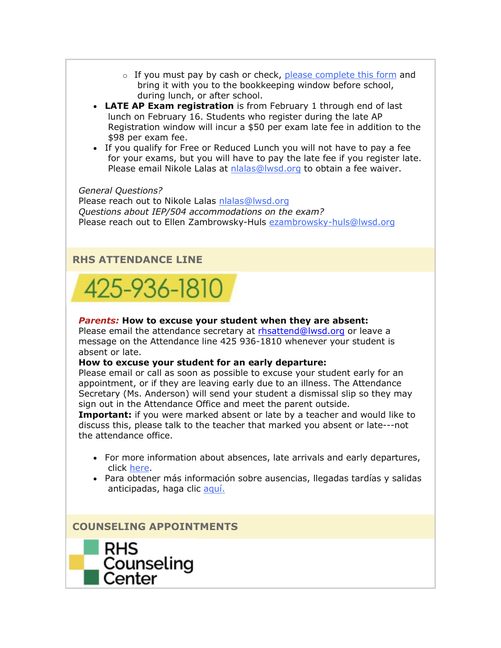- $\circ$  If you must pay by cash or check, [please complete this form](https://nam02.safelinks.protection.outlook.com/?url=http%3A%2F%2Flink.email.dynect.net%2Flink.php%3FDynEngagement%3Dtrue%26H%3DbyPkDFxves6EOGDn1peRNeIe02OIJH5CdLqxMLzUeO8xfJUQzDOhsO1bHLttkS3hqpXV6Nsc44yxbPt4syLkKL5IyFyoNCAh0lIGN67wBXf8O%252BiCTSCPMA%253D%253D%26G%3D0%26R%3Dhttps%253A%252F%252FQSSEGYZTANA.hatchbuck.com%252FTrackLinkClick%253FID2%253DIoajuR2dJFRVPr_cyuhsBFPt6o_OHRxdRN78pNg3ABHpZjdEEEAqVnKT_RDMY8Pm0%26I%3D20211029220429.0000002ac383%2540mail6-64-ussnn1%26X%3DMHwxMjY0OTIyOjIyOTk2NzkxMDU7MXwxMjY0OTIzOjE4NDIwODUxNjs%253D%26V%3D3%26S%3DPinDVEdqUZqVH4O97rgPxmpt7XkZdiYuhhQBLwvLVpE&data=04%7C01%7Cmwood%40lwsd.org%7C5ff38d2bb0394864297908d99b28157d%7C1fd4673fdf9646218638a1d88c4c85d7%7C0%7C0%7C637711418729983796%7CUnknown%7CTWFpbGZsb3d8eyJWIjoiMC4wLjAwMDAiLCJQIjoiV2luMzIiLCJBTiI6Ik1haWwiLCJXVCI6Mn0%3D%7C1000&sdata=ZaDl%2BkJTj%2F3ZrrwEHRmIUJiXEcLhWMqeLd2r6wtivN4%3D&reserved=0) and bring it with you to the bookkeeping window before school, during lunch, or after school.
- **LATE AP Exam registration** is from February 1 through end of last lunch on February 16. Students who register during the late AP Registration window will incur a \$50 per exam late fee in addition to the \$98 per exam fee.
- If you qualify for Free or Reduced Lunch you will not have to pay a fee for your exams, but you will have to pay the late fee if you register late. Please email Nikole Lalas at [nlalas@lwsd.org](mailto:nlalas@lwsd.org) to obtain a fee waiver.

*General Questions?*  Please reach out to Nikole Lalas [nlalas@lwsd.org](mailto:nlalas@lwsd.org) *Questions about IEP/504 accommodations on the exam?*  Please reach out to Ellen Zambrowsky-Huls [ezambrowsky-huls@lwsd.org](mailto:ezambrowsky-huls@lwsd.org)

# **RHS ATTENDANCE LINE**



#### *Parents:* **How to excuse your student when they are absent:**

Please email the attendance secretary at [rhsattend@lwsd.org](mailto:rhsattend@lwsd.org) or leave a message on the Attendance line 425 936-1810 whenever your student is absent or late.

#### **How to excuse your student for an early departure:**

Please email or call as soon as possible to excuse your student early for an appointment, or if they are leaving early due to an illness. The Attendance Secretary (Ms. Anderson) will send your student a dismissal slip so they may sign out in the Attendance Office and meet the parent outside.

**Important:** if you were marked absent or late by a teacher and would like to discuss this, please talk to the teacher that marked you absent or late---not the attendance office.

- For more information about absences, late arrivals and early departures, click [here.](https://nam02.safelinks.protection.outlook.com/?url=http%3A%2F%2Flink.email.dynect.net%2Flink.php%3FDynEngagement%3Dtrue%26H%3DbyPkDFxves6EOGDn1peRNeIe02OIJH5CdLqxMLzUeO8xfJUQzDOhsO1bHLttkS3hqpXV6Nsc44yxbPt4syLkKL5IyFyoNCAh0lIGN67wBXf8O%252BiCTSCPMA%253D%253D%26G%3D0%26R%3Dhttps%253A%252F%252FQSSEGYZTANA.hatchbuck.com%252FTrackLinkClick%253FID2%253DcYikvI72PsS01sEVG4b0O2flqXgJ-bnkbPI3EOosBD_VHqPSCQZhkMX6UCZGomBW0%26I%3D20211029220429.0000002ac383%2540mail6-64-ussnn1%26X%3DMHwxMjY0OTIyOjIyOTk2NzkxMDU7MXwxMjY0OTIzOjE4NDIwODUxNjs%253D%26V%3D3%26S%3D4Wy6K60mQvb_ySfvHp3htSh9Az2YzxSyuO5dyj2Qzso&data=04%7C01%7Cmwood%40lwsd.org%7C5ff38d2bb0394864297908d99b28157d%7C1fd4673fdf9646218638a1d88c4c85d7%7C0%7C0%7C637711418729988783%7CUnknown%7CTWFpbGZsb3d8eyJWIjoiMC4wLjAwMDAiLCJQIjoiV2luMzIiLCJBTiI6Ik1haWwiLCJXVCI6Mn0%3D%7C1000&sdata=XHU9hR5R1WWJVf6X%2BK91WBhEkpPdVS7JM7nndAyqTDM%3D&reserved=0)
- Para obtener más información sobre ausencias, llegadas tardías y salidas anticipadas, haga clic [aquí.](https://nam02.safelinks.protection.outlook.com/?url=http%3A%2F%2Flink.email.dynect.net%2Flink.php%3FDynEngagement%3Dtrue%26H%3DbyPkDFxves6EOGDn1peRNeIe02OIJH5CdLqxMLzUeO8xfJUQzDOhsO1bHLttkS3hqpXV6Nsc44yxbPt4syLkKL5IyFyoNCAh0lIGN67wBXf8O%252BiCTSCPMA%253D%253D%26G%3D0%26R%3Dhttps%253A%252F%252FQSSEGYZTANA.hatchbuck.com%252FTrackLinkClick%253FID2%253DH8nQDJC5yQeCCqRr1b7YQfwjBdOkortjYJQLNO9YmmH0zdiqbd_flR3NtH_ubOOI0%26I%3D20211029220429.0000002ac383%2540mail6-64-ussnn1%26X%3DMHwxMjY0OTIyOjIyOTk2NzkxMDU7MXwxMjY0OTIzOjE4NDIwODUxNjs%253D%26V%3D3%26S%3DuXefr1DsS-LiBa2hNkkqovN7WdcMGbagiJkqzb1Gjlk&data=04%7C01%7Cmwood%40lwsd.org%7C5ff38d2bb0394864297908d99b28157d%7C1fd4673fdf9646218638a1d88c4c85d7%7C0%7C0%7C637711418729993769%7CUnknown%7CTWFpbGZsb3d8eyJWIjoiMC4wLjAwMDAiLCJQIjoiV2luMzIiLCJBTiI6Ik1haWwiLCJXVCI6Mn0%3D%7C1000&sdata=o%2F%2BmyI4gUzAb5%2FXq%2B5Tttj9n6eCbad8iVZDODol0ft8%3D&reserved=0)

**COUNSELING APPOINTMENTS**

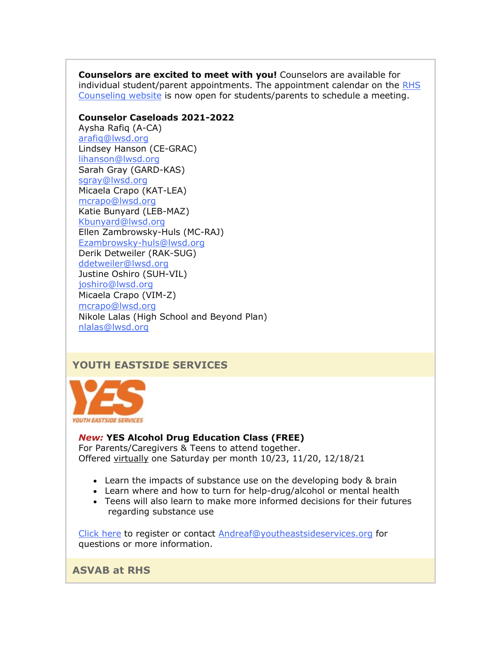**Counselors are excited to meet with you!** Counselors are available for individual student/parent appointments. The appointment calendar on the [RHS](https://nam02.safelinks.protection.outlook.com/?url=http%3A%2F%2Flink.email.dynect.net%2Flink.php%3FDynEngagement%3Dtrue%26H%3DbyPkDFxves6EOGDn1peRNeIe02OIJH5CdLqxMLzUeO8xfJUQzDOhsO1bHLttkS3hqpXV6Nsc44yxbPt4syLkKL5IyFyoNCAh0lIGN67wBXf8O%252BiCTSCPMA%253D%253D%26G%3D0%26R%3Dhttps%253A%252F%252FQSSEGYZTANA.hatchbuck.com%252FTrackLinkClick%253FID2%253DWa638R8XmNYsnTIjiTyqmjpFcdi6KJGwVs0m9e7n7Ims9fXLTJ5VQxw0dK9Vy0na0%26I%3D20211029220429.0000002ac383%2540mail6-64-ussnn1%26X%3DMHwxMjY0OTIyOjIyOTk2NzkxMDU7MXwxMjY0OTIzOjE4NDIwODUxNjs%253D%26V%3D3%26S%3DlHvSuZa7X1vjcj9zQexWnOVS9QoJEVCCAc56siBJyjM&data=04%7C01%7Cmwood%40lwsd.org%7C5ff38d2bb0394864297908d99b28157d%7C1fd4673fdf9646218638a1d88c4c85d7%7C0%7C0%7C637711418730003758%7CUnknown%7CTWFpbGZsb3d8eyJWIjoiMC4wLjAwMDAiLCJQIjoiV2luMzIiLCJBTiI6Ik1haWwiLCJXVCI6Mn0%3D%7C1000&sdata=Q98sZFwS%2Fl%2BOvobg%2BiywnY1ArRwFgHz%2FpoQnt%2FfYqXI%3D&reserved=0)  [Counseling website](https://nam02.safelinks.protection.outlook.com/?url=http%3A%2F%2Flink.email.dynect.net%2Flink.php%3FDynEngagement%3Dtrue%26H%3DbyPkDFxves6EOGDn1peRNeIe02OIJH5CdLqxMLzUeO8xfJUQzDOhsO1bHLttkS3hqpXV6Nsc44yxbPt4syLkKL5IyFyoNCAh0lIGN67wBXf8O%252BiCTSCPMA%253D%253D%26G%3D0%26R%3Dhttps%253A%252F%252FQSSEGYZTANA.hatchbuck.com%252FTrackLinkClick%253FID2%253DWa638R8XmNYsnTIjiTyqmjpFcdi6KJGwVs0m9e7n7Ims9fXLTJ5VQxw0dK9Vy0na0%26I%3D20211029220429.0000002ac383%2540mail6-64-ussnn1%26X%3DMHwxMjY0OTIyOjIyOTk2NzkxMDU7MXwxMjY0OTIzOjE4NDIwODUxNjs%253D%26V%3D3%26S%3DlHvSuZa7X1vjcj9zQexWnOVS9QoJEVCCAc56siBJyjM&data=04%7C01%7Cmwood%40lwsd.org%7C5ff38d2bb0394864297908d99b28157d%7C1fd4673fdf9646218638a1d88c4c85d7%7C0%7C0%7C637711418730003758%7CUnknown%7CTWFpbGZsb3d8eyJWIjoiMC4wLjAwMDAiLCJQIjoiV2luMzIiLCJBTiI6Ik1haWwiLCJXVCI6Mn0%3D%7C1000&sdata=Q98sZFwS%2Fl%2BOvobg%2BiywnY1ArRwFgHz%2FpoQnt%2FfYqXI%3D&reserved=0) is now open for students/parents to schedule a meeting.

#### **Counselor Caseloads 2021-2022**

Aysha Rafiq (A-CA) [arafiq@lwsd.org](mailto:arafiq@lwsd.org) Lindsey Hanson (CE-GRAC) [lihanson@lwsd.org](mailto:lihanson@lwsd.org) Sarah Gray (GARD-KAS) [sgray@lwsd.org](mailto:sgray@lwsd.org) Micaela Crapo (KAT-LEA) [mcrapo@lwsd.org](mailto:mcrapo@lwsd.org) Katie Bunyard (LEB-MAZ) [Kbunyard@lwsd.org](mailto:Kbunyard@lwsd.org) Ellen Zambrowsky-Huls (MC-RAJ) [Ezambrowsky-huls@lwsd.org](mailto:Ezambrowsky-huls@lwsd.org) Derik Detweiler (RAK-SUG) [ddetweiler@lwsd.org](mailto:ddetweiler@lwsd.org) Justine Oshiro (SUH-VIL) [joshiro@lwsd.org](mailto:joshiro@lwsd.org) Micaela Crapo (VIM-Z) [mcrapo@lwsd.org](mailto:mcrapo@lwsd.org) Nikole Lalas (High School and Beyond Plan) [nlalas@lwsd.org](mailto:nlalas@lwsd.org)

# **YOUTH EASTSIDE SERVICES**



# *New:* **YES Alcohol Drug Education Class (FREE)**

For Parents/Caregivers & Teens to attend together. Offered virtually one Saturday per month 10/23, 11/20, 12/18/21

- Learn the impacts of substance use on the developing body & brain
- Learn where and how to turn for help-drug/alcohol or mental health
- Teens will also learn to make more informed decisions for their futures regarding substance use

[Click here](https://nam02.safelinks.protection.outlook.com/?url=http%3A%2F%2Flink.email.dynect.net%2Flink.php%3FDynEngagement%3Dtrue%26H%3DbyPkDFxves6EOGDn1peRNeIe02OIJH5CdLqxMLzUeO8xfJUQzDOhsO1bHLttkS3hqpXV6Nsc44yxbPt4syLkKL5IyFyoNCAh0lIGN67wBXf8O%252BiCTSCPMA%253D%253D%26G%3D0%26R%3Dhttps%253A%252F%252FQSSEGYZTANA.hatchbuck.com%252FTrackLinkClick%253FID2%253D7nDaSSrDvDKQlLH_d333HTRAUhj4AXrv_CoJgED8eaINdbhaw3ZHvzBs0Ukpl0th0%26I%3D20211029220429.0000002ac383%2540mail6-64-ussnn1%26X%3DMHwxMjY0OTIyOjIyOTk2NzkxMDU7MXwxMjY0OTIzOjE4NDIwODUxNjs%253D%26V%3D3%26S%3DUfF0QZ2tD8sQU72T-cCWEUS_lDllyTfVsfL2x7htYh8&data=04%7C01%7Cmwood%40lwsd.org%7C5ff38d2bb0394864297908d99b28157d%7C1fd4673fdf9646218638a1d88c4c85d7%7C0%7C0%7C637711418730008743%7CUnknown%7CTWFpbGZsb3d8eyJWIjoiMC4wLjAwMDAiLCJQIjoiV2luMzIiLCJBTiI6Ik1haWwiLCJXVCI6Mn0%3D%7C1000&sdata=Xp9XPj0guPx9V8l7Ffhw3ulmLz6QzYkLMsT5j5r%2BE1g%3D&reserved=0) to register or contact [Andreaf@youtheastsideservices.org](mailto:Andreaf@youtheastsideservices.org) for questions or more information.

**ASVAB at RHS**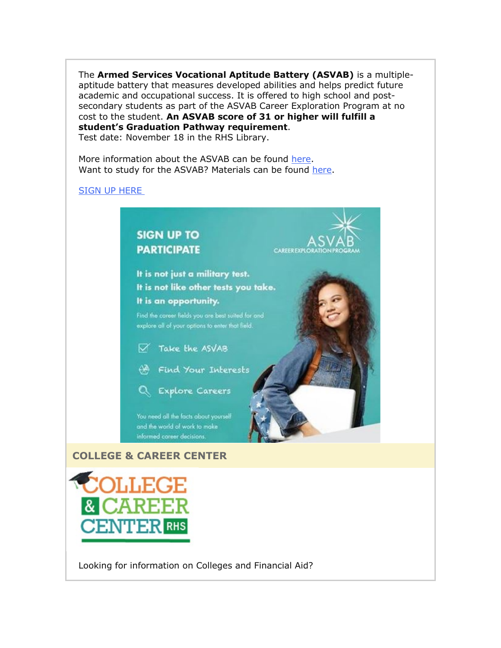The **Armed Services Vocational Aptitude Battery (ASVAB)** is a multipleaptitude battery that measures developed abilities and helps predict future academic and occupational success. It is offered to high school and postsecondary students as part of the ASVAB Career Exploration Program at no cost to the student. **An ASVAB score of 31 or higher will fulfill a student's Graduation Pathway requirement**. Test date: November 18 in the RHS Library.

**CAREEREXPLO** 

More information about the ASVAB can be found [here.](https://nam02.safelinks.protection.outlook.com/?url=http%3A%2F%2Flink.email.dynect.net%2Flink.php%3FDynEngagement%3Dtrue%26H%3DbyPkDFxves6EOGDn1peRNeIe02OIJH5CdLqxMLzUeO8xfJUQzDOhsO1bHLttkS3hqpXV6Nsc44yxbPt4syLkKL5IyFyoNCAh0lIGN67wBXf8O%252BiCTSCPMA%253D%253D%26G%3D0%26R%3Dhttps%253A%252F%252FQSSEGYZTANA.hatchbuck.com%252FTrackLinkClick%253FID2%253DquZzvrfRk6bA7nnCBM1G-LyUsdcyVjMgTXHa8_NPEukHZnesAL4JjrQoM26rTLW20%26I%3D20211029220429.0000002ac383%2540mail6-64-ussnn1%26X%3DMHwxMjY0OTIyOjIyOTk2NzkxMDU7MXwxMjY0OTIzOjE4NDIwODUxNjs%253D%26V%3D3%26S%3DDBZJM8fasfGqK6SsiSabAyUSZaAopHecq4lsvNGrru0&data=04%7C01%7Cmwood%40lwsd.org%7C5ff38d2bb0394864297908d99b28157d%7C1fd4673fdf9646218638a1d88c4c85d7%7C0%7C0%7C637711418730013734%7CUnknown%7CTWFpbGZsb3d8eyJWIjoiMC4wLjAwMDAiLCJQIjoiV2luMzIiLCJBTiI6Ik1haWwiLCJXVCI6Mn0%3D%7C1000&sdata=PwHwyTNUznpfbCrvShuBY6wAigG3SowO18J2rHJ0KeQ%3D&reserved=0) Want to study for the ASVAB? Materials can be found [here.](https://nam02.safelinks.protection.outlook.com/?url=http%3A%2F%2Flink.email.dynect.net%2Flink.php%3FDynEngagement%3Dtrue%26H%3DbyPkDFxves6EOGDn1peRNeIe02OIJH5CdLqxMLzUeO8xfJUQzDOhsO1bHLttkS3hqpXV6Nsc44yxbPt4syLkKL5IyFyoNCAh0lIGN67wBXf8O%252BiCTSCPMA%253D%253D%26G%3D0%26R%3Dhttps%253A%252F%252FQSSEGYZTANA.hatchbuck.com%252FTrackLinkClick%253FID2%253DT5MvQbc8v4xoYGuVrPUvZL00P2rcG2swQXPjRmuZrAhk431pT6IVwav5pTMREcSK0%26I%3D20211029220429.0000002ac383%2540mail6-64-ussnn1%26X%3DMHwxMjY0OTIyOjIyOTk2NzkxMDU7MXwxMjY0OTIzOjE4NDIwODUxNjs%253D%26V%3D3%26S%3DIPCXt6FPqNJspLKg_NjZxCxZU_LyOMyeilyrSejbr50&data=04%7C01%7Cmwood%40lwsd.org%7C5ff38d2bb0394864297908d99b28157d%7C1fd4673fdf9646218638a1d88c4c85d7%7C0%7C0%7C637711418730018726%7CUnknown%7CTWFpbGZsb3d8eyJWIjoiMC4wLjAwMDAiLCJQIjoiV2luMzIiLCJBTiI6Ik1haWwiLCJXVCI6Mn0%3D%7C1000&sdata=1svWu%2FNlgF1s%2BMflZgKb0oLeXTHu9tMfXEvKdtlj1kI%3D&reserved=0)

# [SIGN UP HERE](https://nam02.safelinks.protection.outlook.com/?url=http%3A%2F%2Flink.email.dynect.net%2Flink.php%3FDynEngagement%3Dtrue%26H%3DbyPkDFxves6EOGDn1peRNeIe02OIJH5CdLqxMLzUeO8xfJUQzDOhsO1bHLttkS3hqpXV6Nsc44yxbPt4syLkKL5IyFyoNCAh0lIGN67wBXf8O%252BiCTSCPMA%253D%253D%26G%3D0%26R%3Dhttps%253A%252F%252FQSSEGYZTANA.hatchbuck.com%252FTrackLinkClick%253FID2%253D_yfsksqR4vQZqg1I8vPVBBOiDsQHxr4sUmejbeQl820pGF0FEuxr5jQ8WUE_RfTv0%26I%3D20211029220429.0000002ac383%2540mail6-64-ussnn1%26X%3DMHwxMjY0OTIyOjIyOTk2NzkxMDU7MXwxMjY0OTIzOjE4NDIwODUxNjs%253D%26V%3D3%26S%3DJYJhesjywxeu4o47FPW3MNtt1sED0pNqPaY3xizU1Zw&data=04%7C01%7Cmwood%40lwsd.org%7C5ff38d2bb0394864297908d99b28157d%7C1fd4673fdf9646218638a1d88c4c85d7%7C0%7C0%7C637711418730028709%7CUnknown%7CTWFpbGZsb3d8eyJWIjoiMC4wLjAwMDAiLCJQIjoiV2luMzIiLCJBTiI6Ik1haWwiLCJXVCI6Mn0%3D%7C1000&sdata=CLY388K6XFU0CiRXHwZqFk77MUYNnRmXw%2FzbP0qHQps%3D&reserved=0)



It is not just a military test. It is not like other tests you take. It is an opportunity.

Find the career fields you are best suited for and explore all of your options to enter that field.

- V Take the ASVAB
- (A Find Your Interests



You need all the facts about yourself and the world of work to make informed career decisions.

# **COLLEGE & CAREER CENTER**



Looking for information on Colleges and Financial Aid?